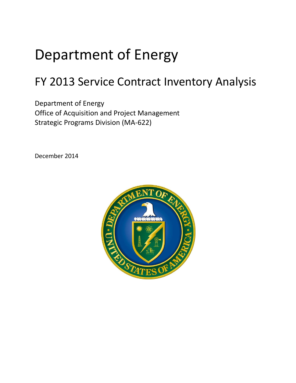# Department of Energy

## FY 2013 Service Contract Inventory Analysis

Department of Energy Office of Acquisition and Project Management Strategic Programs Division (MA-622)

December 2014

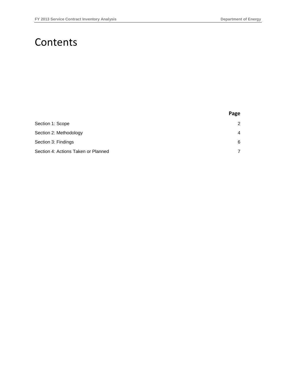### **Contents**

|                                     | Page           |
|-------------------------------------|----------------|
| Section 1: Scope                    | 2              |
| Section 2: Methodology              | $\overline{4}$ |
| Section 3: Findings                 | 6              |
| Section 4: Actions Taken or Planned | 7              |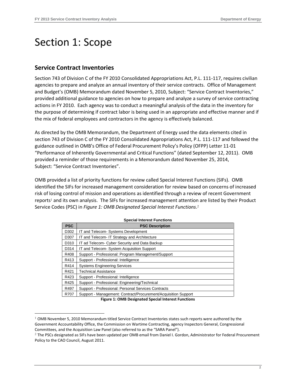### <span id="page-2-0"></span>Section 1: Scope

#### **Service Contract Inventories**

-

Section 743 of Division C of the FY 2010 Consolidated Appropriations Act, P.L. 111-117, requires civilian agencies to prepare and analyze an annual inventory of their service contracts. Office of Management and Budget's (OMB) Memorandum dated November 5, 2010, Subject: "Service Contract Inventories," provided additional guidance to agencies on how to prepare and analyze a survey of service contracting actions in FY 2010. Each agency was to conduct a meaningful analysis of the data in the inventory for the purpose of determining if contract labor is being used in an appropriate and effective manner and if the mix of federal employees and contractors in the agency is effectively balanced.

As directed by the OMB Memorandum, the Department of Energy used the data elements cited in section 743 of Division C of the FY 2010 Consolidated Appropriations Act, P.L. 111-117 and followed the guidance outlined in OMB's Office of Federal Procurement Policy's Policy (OFPP) Letter 11-01 "Performance of Inherently Governmental and Critical Functions" (dated September 12, 2011). OMB provided a reminder of those requirements in a Memorandum dated November 25, 2014, Subject: "Service Contract Inventories".

OMB provided a list of priority functions for review called Special Interest Functions (SIFs). OMB identified the SIFs for increased management consideration for review based on concerns of increased risk of losing control of mission and operations as identified through a review of recent Government reports<sup>1</sup> and its own analysis. The SIFs for increased management attention are listed by their Product Service Codes (PSC) in *Figure 1: OMB Designated Special Interest Functions*. 2

| <b>PSC</b> | <b>PSC Description</b>                                         |
|------------|----------------------------------------------------------------|
| D302       | IT and Telecom- Systems Development                            |
| D307       | IT and Telecom- IT Strategy and Architecture                   |
| D310       | IT ad Telecom- Cyber Security and Data Backup                  |
| D314       | IT and Telecom- System Acquisition Support                     |
| R408       | Support - Professional: Program Management/Support             |
| R413       | Support - Professional: Intelligence                           |
| R414       | <b>Systems Engineering Services</b>                            |
| R421       | <b>Technical Assistance</b>                                    |
| R423       | Support - Professional: Intelligence                           |
| R425       | Support - Professional: Engineering/Technical                  |
| R497       | Support - Professional: Personal Services Contracts            |
| R707       | Support - Management: Contract/Procurement/Acquisition Support |

**Figure 1: OMB Designated Special Interest Functions**

<sup>1</sup> OMB November 5, 2010 Memorandum titled Service Contract Inventories states such reports were authored by the Government Accountability Office, the Commission on Wartime Contracting, agency Inspectors General, Congressional Committees, and the Acquisition Law Panel (also referred to as the "SARA Panel").

<sup>2</sup> The PSCs designated as SIFs have been updated per OMB email from Daniel I. Gordon, Administrator for Federal Procurement Policy to the CAO Council, August 2011.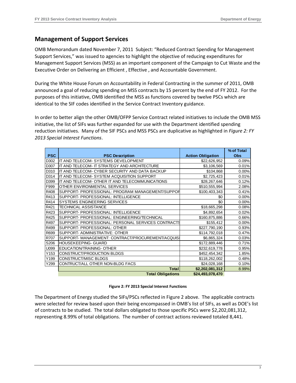#### **Management of Support Services**

OMB Memorandum dated November 7, 2011 Subject: "Reduced Contract Spending for Management Support Services," was issued to agencies to highlight the objective of reducing expenditures for Management Support Services (MSS) as an important component of the Campaign to Cut Waste and the Executive Order on Delivering an Efficient , Effective , and Accountable Government.

During the White House Forum on Accountability in Federal Contracting in the summer of 2011, OMB announced a goal of reducing spending on MSS contracts by 15 percent by the end of FY 2012. For the purposes of this initiative, OMB identified the MSS as functions covered by twelve PSCs which are identical to the SIF codes identified in the Service Contract Inventory guidance.

In order to better align the other OMB/OFPP Service Contract related initiatives to include the OMB MSS initiative, the list of SIFs was further expanded for use with the Department identified spending reduction initiatives. Many of the SIF PSCs and MSS PSCs are duplicative as highlighted in *Figure 2: FY 2013 Special Interest Functions*.

|            |                                                   |                          | % of Total |
|------------|---------------------------------------------------|--------------------------|------------|
| <b>PSC</b> | <b>PSC Description</b>                            | <b>Action Obligation</b> | <b>Obs</b> |
| D302       | IT AND TELECOM- SYSTEMS DEVELOPMENT               | \$22,626,952             | 0.09%      |
| D307       | IT AND TELECOM- IT STRATEGY AND ARCHITECTURE      | \$3,106,569              | 0.01%      |
| D310       | IT AND TELECOM- CYBER SECURITY AND DATA BACKUP    | \$104,868                | 0.00%      |
| D314       | IT AND TELECOM- SYSTEM ACQUISITION SUPPORT        | \$2,725,423              | 0.01%      |
| D399       | IT AND TELECOM- OTHER IT AND TELECOMMUNICATIONS   | \$28,267,646             | 0.12%      |
| F999       | OTHER ENVIRONMENTAL SERVICES                      | \$510,555,994            | 2.08%      |
| R408       | SUPPORT- PROFESSIONAL: PROGRAM MANAGEMENT/SUPPOR  | \$100,403,343            | 0.41%      |
| R413       | SUPPORT-PROFESSIONAL: INTELLIGENCE                | \$0                      | 0.00%      |
| R414       | <b>SYSTEMS ENGINEERING SERVICES</b>               | \$0                      | 0.00%      |
| R421       | <b>TECHNICAL ASSISTANCE</b>                       | \$18,665,298             | 0.08%      |
| R423       | SUPPORT-PROFESSIONAL: INTELLIGENCE                | \$4,892,654              | 0.02%      |
| R425       | SUPPORT-PROFESSIONAL: ENGINEERING/TECHNICAL       | \$160,875,886            | 0.66%      |
| R497       | SUPPORT-PROFESSIONAL: PERSONAL SERVICES CONTRACTS | \$155,412                | 0.00%      |
| R499       | SUPPORT-PROFESSIONAL: OTHER                       | \$227,790,190            | 0.93%      |
| R699       | SUPPORT-ADMINISTRATIVE: OTHER                     | \$114,792,018            | 0.47%      |
| R707       | SUPPORT- MANAGEMENT: CONTRACT/PROCUREMENT/ACQUIS  | \$6,865,324              | 0.03%      |
| S206       | HOUSEKEEPING- GUARD                               | \$172,889,446            | 0.71%      |
| U099       | EDUCATION/TRAINING-OTHER                          | \$232,619,778            | 0.95%      |
| Y153       | CONSTRUCT/PRODUCTION BLDGS                        | \$452,454,342            | 1.85%      |
| Y199       | <b>CONSTRUCT/MISC BLDGS</b>                       | \$118,262,002            | 0.48%      |
| Y299       | CONTRUCT/ALL OTHER NON-BLDG FACS                  | \$24,028,168             | 0.10%      |
|            | Total                                             | \$2,202,081,312          | 8.99%      |
|            | <b>Total Obligations</b>                          | \$24,493,078,470         |            |

#### **Figure 2: FY 2013 Special Interest Functions**

The Department of Energy studied the SIFs/PSCs reflected in Figure 2 above. The applicable contracts were selected for review based upon their being encompassed in OMB's list of SIFs, as well as DOE's list of contracts to be studied. The total dollars obligated to those specific PSCs were \$2,202,081,312, representing 8.99% of total obligations. The number of contract actions reviewed totaled 8,441.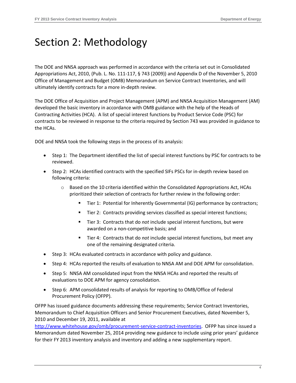### <span id="page-4-0"></span>Section 2: Methodology

The DOE and NNSA approach was performed in accordance with the criteria set out in Consolidated Appropriations Act, 2010, (Pub. L. No. 111-117, § 743 (2009)) and Appendix D of the November 5, 2010 Office of Management and Budget (OMB) Memorandum on Service Contract Inventories, and will ultimately identify contracts for a more in-depth review.

The DOE Office of Acquisition and Project Management (APM) and NNSA Acquisition Management (AM) developed the basic inventory in accordance with OMB guidance with the help of the Heads of Contracting Activities (HCA). A list of special interest functions by Product Service Code (PSC) for contracts to be reviewed in response to the criteria required by Section 743 was provided in guidance to the HCAs.

DOE and NNSA took the following steps in the process of its analysis:

- Step 1: The Department identified the list of special interest functions by PSC for contracts to be reviewed.
- Step 2: HCAs identified contracts with the specified SIFs PSCs for in-depth review based on following criteria:
	- Based on the 10 criteria identified within the Consolidated Appropriations Act, HCAs prioritized their selection of contracts for further review in the following order:
		- Tier 1: Potential for Inherently Governmental (IG) performance by contractors;
		- Tier 2: Contracts providing services classified as special interest functions;
		- Tier 3: Contracts that do *not* include special interest functions, but were awarded on a non-competitive basis; and
		- Tier 4: Contracts that do *not* include special interest functions, but meet any one of the remaining designated criteria.
- Step 3: HCAs evaluated contracts in accordance with policy and guidance.
- Step 4: HCAs reported the results of evaluation to NNSA AM and DOE APM for consolidation.
- Step 5: NNSA AM consolidated input from the NNSA HCAs and reported the results of evaluations to DOE APM for agency consolidation.
- Step 6: APM consolidated results of analysis for reporting to OMB/Office of Federal Procurement Policy (OFPP).

OFPP has issued guidance documents addressing these requirements; Service Contract Inventories, Memorandum to Chief Acquisition Officers and Senior Procurement Executives, dated November 5, 2010 and December 19, 2011, available at

[http://www.whitehouse.gov/omb/procurement-service-contract-inventories.](http://www.whitehouse.gov/omb/procurement-service-contract-inventories) OFPP has since issued a Memorandum dated November 25, 2014 providing new guidance to include using prior years' guidance for their FY 2013 inventory analysis and inventory and adding a new supplementary report.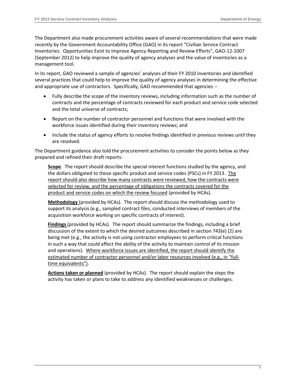The Department also made procurement activities aware of several recommendations that were made recently by the Government Accountability Office (GAO) in its report "Civilian Service Contract Inventories: [Opportunities Exist to Improve Agency Reporting and Review Efforts", GAO](http://www.gao.gov/assets/650/648939.pdf)-12-1007 [\(September 2012\)](http://www.gao.gov/assets/650/648939.pdf) to help improve the quality of agency analyses and the value of inventories as a management tool.

In its report, GAO reviewed a sample of agencies' analyses of their FY 2010 inventories and identified several practices that could help to improve the quality of agency analyses in determining the effective and appropriate use of contractors. Specifically, GAO recommended that agencies --

- Fully describe the scope of the inventory reviews, including information such as the number of contracts and the percentage of contracts reviewed for each product and service code selected and the total universe of contracts;
- Report on the number of contractor personnel and functions that were involved with the workforce issues identified during their inventory reviews; and
- Include the status of agency efforts to resolve findings identified in previous reviews until they are resolved.

The Department guidance also told the procurement activities to consider the points below as they prepared and refined their draft reports:

**Scope**. The report should describe the special interest functions studied by the agency, and the dollars obligated to those specific product and service codes (PSCs) in FY 2013. The report should also describe how many contracts were reviewed, how the contracts were selected for review, and the percentage of obligations the contracts covered for the product and service codes on which the review focused (provided by HCAs).

**Methodology** (provided by HCAs). The report should discuss the methodology used to support its analysis (e.g., sampled contract files, conducted interviews of members of the acquisition workforce working on specific contracts of interest).

**Findings** (provided by HCAs). The report should summarize the findings, including a brief discussion of the extent to which the desired outcomes described in section 743(e) (2) are being met (e.g., the activity is not using contractor employees to perform critical functions in such a way that could affect the ability of the activity to maintain control of its mission and operations). Where workforce issues are identified, the report should identify the estimated number of contractor personnel and/or labor resources involved (e.g., in "fulltime equivalents").

**Actions taken or planned** (provided by HCAs). The report should explain the steps the activity has taken or plans to take to address any identified weaknesses or challenges.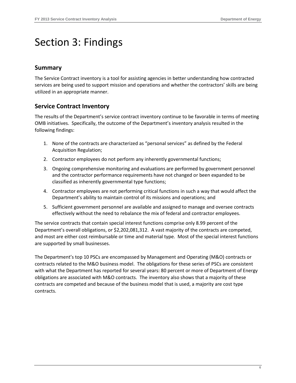### <span id="page-6-0"></span>Section 3: Findings

#### **Summary**

The Service Contract inventory is a tool for assisting agencies in better understanding how contracted services are being used to support mission and operations and whether the contractors' skills are being utilized in an appropriate manner.

#### **Service Contract Inventory**

The results of the Department's service contract inventory continue to be favorable in terms of meeting OMB initiatives. Specifically, the outcome of the Department's inventory analysis resulted in the following findings:

- 1. None of the contracts are characterized as "personal services" as defined by the Federal Acquisition Regulation;
- 2. Contractor employees do not perform any inherently governmental functions;
- 3. Ongoing comprehensive monitoring and evaluations are performed by government personnel and the contractor performance requirements have not changed or been expanded to be classified as inherently governmental type functions;
- 4. Contractor employees are not performing critical functions in such a way that would affect the Department's ability to maintain control of its missions and operations; and
- 5. Sufficient government personnel are available and assigned to manage and oversee contracts effectively without the need to rebalance the mix of federal and contractor employees.

The service contracts that contain special interest functions comprise only 8.99 percent of the Department's overall obligations, or \$2,202,081,312. A vast majority of the contracts are competed, and most are either cost reimbursable or time and material type. Most of the special interest functions are supported by small businesses.

The Department's top 10 PSCs are encompassed by Management and Operating (M&O) contracts or contracts related to the M&O business model. The obligations for these series of PSCs are consistent with what the Department has reported for several years: 80 percent or more of Department of Energy obligations are associated with M&O contracts. The inventory also shows that a majority of these contracts are competed and because of the business model that is used, a majority are cost type contracts.